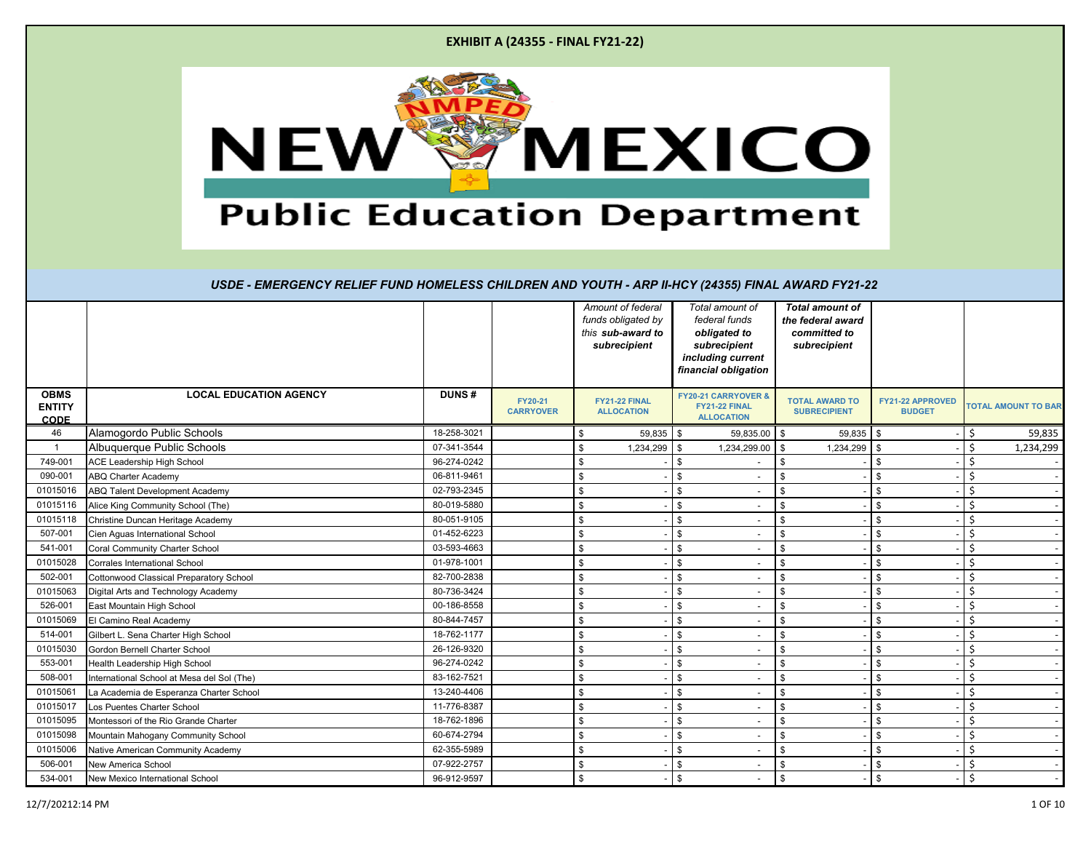|  | <b>EXHIBIT A (24355 - FINAL FY21-22)</b> |
|--|------------------------------------------|
|--|------------------------------------------|



|                                             |                                            |              |                             |                    | Amount of federal<br>funds obligated by<br>this sub-award to<br>subrecipient | Total amount of<br>federal funds<br>obligated to<br>subrecipient<br>including current<br>financial obligation | <b>Total amount of</b><br>the federal award<br>committed to<br>subrecipient |                                          |         |                            |
|---------------------------------------------|--------------------------------------------|--------------|-----------------------------|--------------------|------------------------------------------------------------------------------|---------------------------------------------------------------------------------------------------------------|-----------------------------------------------------------------------------|------------------------------------------|---------|----------------------------|
| <b>OBMS</b><br><b>ENTITY</b><br><b>CODE</b> | <b>LOCAL EDUCATION AGENCY</b>              | <b>DUNS#</b> | FY20-21<br><b>CARRYOVER</b> |                    | FY21-22 FINAL<br><b>ALLOCATION</b>                                           | FY20-21 CARRYOVER &<br>FY21-22 FINAL<br><b>ALLOCATION</b>                                                     | <b>TOTAL AWARD TO</b><br><b>SUBRECIPIENT</b>                                | <b>FY21-22 APPROVED</b><br><b>BUDGET</b> |         | <b>TOTAL AMOUNT TO BAR</b> |
| 46                                          | Alamogordo Public Schools                  | 18-258-3021  |                             | \$                 | $59,835$ \$                                                                  | $59,835.00$ \$                                                                                                | 59,835                                                                      | - \$                                     | \$      | 59,835                     |
| $\overline{1}$                              | Albuquerque Public Schools                 | 07-341-3544  |                             | \$                 | 1,234,299                                                                    | \$<br>$1,234,299.00$ \$                                                                                       | 1,234,299                                                                   | \$                                       | Ś.      | 1,234,299                  |
| 749-001                                     | ACE Leadership High School                 | 96-274-0242  |                             | \$                 |                                                                              | \$                                                                                                            | \$                                                                          | \$                                       | Ś       |                            |
| 090-001                                     | <b>ABQ Charter Academy</b>                 | 06-811-9461  |                             | \$                 |                                                                              | \$<br>$\overline{\phantom{a}}$                                                                                | \$                                                                          | S                                        | \$      |                            |
| 01015016                                    | <b>ABQ Talent Development Academy</b>      | 02-793-2345  |                             | \$                 |                                                                              | \$                                                                                                            | \$                                                                          | \$                                       | Ś.      |                            |
| 01015116                                    | Alice King Community School (The)          | 80-019-5880  |                             | $\mathbf{\hat{s}}$ |                                                                              | \$                                                                                                            | $\mathbb{S}$                                                                | \$                                       | $\zeta$ |                            |
| 01015118                                    | Christine Duncan Heritage Academy          | 80-051-9105  |                             | \$                 |                                                                              | \$                                                                                                            | \$                                                                          | \$                                       | Ś       |                            |
| 507-001                                     | Cien Aguas International School            | 01-452-6223  |                             | \$                 |                                                                              | \$                                                                                                            | \$                                                                          | \$                                       | Ś.      |                            |
| 541-001                                     | Coral Community Charter School             | 03-593-4663  |                             | \$                 |                                                                              | \$                                                                                                            | \$                                                                          | \$                                       | Ś.      |                            |
| 01015028                                    | Corrales International School              | 01-978-1001  |                             | \$                 |                                                                              | \$                                                                                                            | \$                                                                          | \$                                       | Ś.      |                            |
| 502-001                                     | Cottonwood Classical Preparatory School    | 82-700-2838  |                             | \$                 |                                                                              | \$                                                                                                            | \$                                                                          | \$                                       | $\zeta$ |                            |
| 01015063                                    | Digital Arts and Technology Academy        | 80-736-3424  |                             | \$                 |                                                                              | \$<br>٠                                                                                                       | \$                                                                          | \$                                       | Ś       |                            |
| 526-001                                     | East Mountain High School                  | 00-186-8558  |                             | \$                 |                                                                              | \$                                                                                                            | \$                                                                          | \$                                       | Ś.      |                            |
| 01015069                                    | El Camino Real Academy                     | 80-844-7457  |                             | \$                 |                                                                              | \$                                                                                                            | \$                                                                          | \$                                       | Ś       |                            |
| 514-001                                     | Gilbert L. Sena Charter High School        | 18-762-1177  |                             | \$                 |                                                                              | \$<br>$\overline{\phantom{a}}$                                                                                | \$                                                                          | \$                                       | Ś.      |                            |
| 01015030                                    | Gordon Bernell Charter School              | 26-126-9320  |                             | \$                 |                                                                              | \$                                                                                                            | \$                                                                          | \$                                       | Ś.      |                            |
| 553-001                                     | Health Leadership High School              | 96-274-0242  |                             | \$                 |                                                                              | \$                                                                                                            | \$                                                                          | \$                                       | Ś.      |                            |
| 508-001                                     | International School at Mesa del Sol (The) | 83-162-7521  |                             | \$                 |                                                                              | \$                                                                                                            | \$                                                                          | \$                                       | Ś       |                            |
| 01015061                                    | La Academia de Esperanza Charter School    | 13-240-4406  |                             | \$                 |                                                                              | \$                                                                                                            | \$                                                                          |                                          | Ś       |                            |
| 01015017                                    | Los Puentes Charter School                 | 11-776-8387  |                             | \$                 |                                                                              | \$<br>$\overline{\phantom{a}}$                                                                                | \$                                                                          | \$                                       | Ś       |                            |
| 01015095                                    | Montessori of the Rio Grande Charter       | 18-762-1896  |                             | \$                 |                                                                              | \$                                                                                                            | \$                                                                          | \$                                       | Ś       |                            |
| 01015098                                    | Mountain Mahogany Community School         | 60-674-2794  |                             | \$                 |                                                                              | \$                                                                                                            | \$                                                                          | \$                                       | Ś.      |                            |
| 01015006                                    | Native American Community Academy          | 62-355-5989  |                             | \$                 |                                                                              | \$                                                                                                            | \$                                                                          | \$                                       | Ś       |                            |
| 506-001                                     | New America School                         | 07-922-2757  |                             | \$                 |                                                                              | \$                                                                                                            | \$                                                                          | S                                        | $\zeta$ |                            |
| 534-001                                     | New Mexico International School            | 96-912-9597  |                             | \$                 |                                                                              | \$<br>$\overline{\phantom{a}}$                                                                                | \$                                                                          | \$                                       | \$      |                            |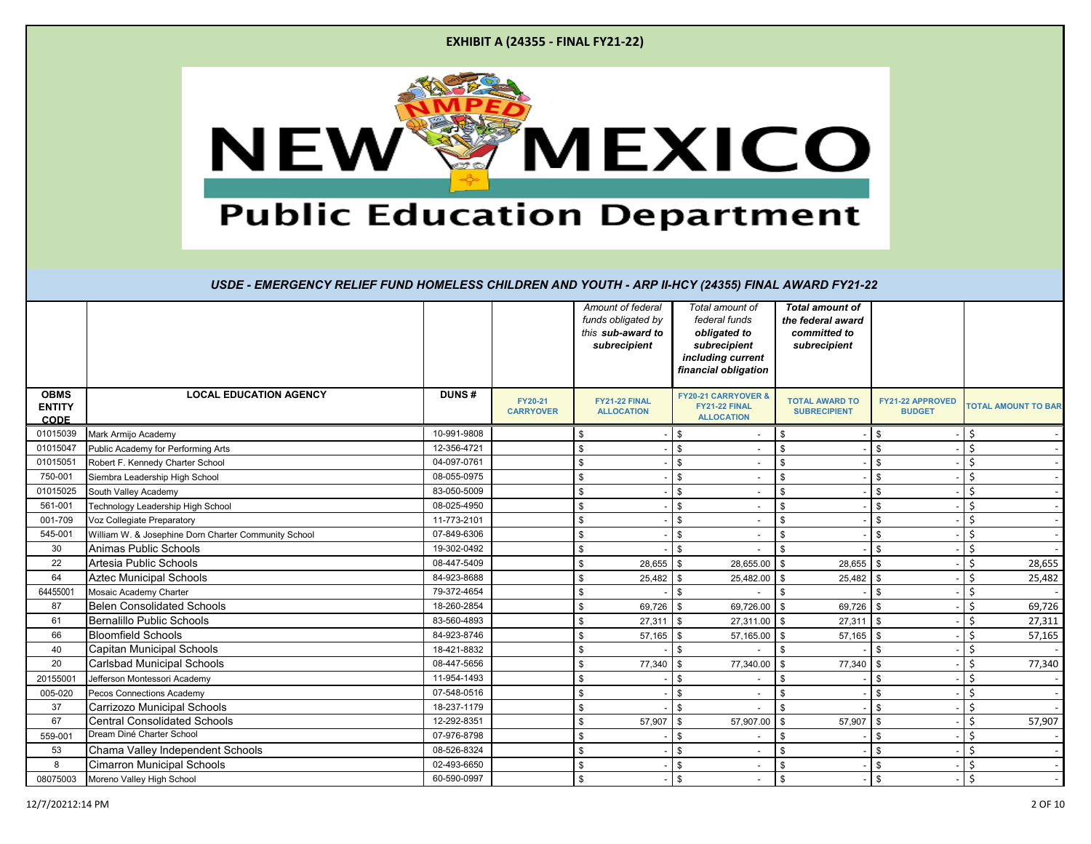| <b>EXHIBIT A (24355 - FINAL FY21-22)</b>                                                          |
|---------------------------------------------------------------------------------------------------|
| <b>MEXICO</b><br><b>NEW</b><br><b>Public Education Department</b>                                 |
|                                                                                                   |
| USDE - EMERGENCY RELIEF FUND HOMELESS CHILDREN AND YOUTH - ARP II-HCY (24355) FINAL AWARD FY21-22 |

|                                             |                                                      |              |                             | Amount of federal<br>funds obligated by<br>this sub-award to<br>subrecipient | Total amount of<br>federal funds<br>obligated to<br>subrecipient<br>including current | <b>Total amount of</b><br>the federal award<br>committed to<br>subrecipient |                                   |                            |
|---------------------------------------------|------------------------------------------------------|--------------|-----------------------------|------------------------------------------------------------------------------|---------------------------------------------------------------------------------------|-----------------------------------------------------------------------------|-----------------------------------|----------------------------|
|                                             |                                                      |              |                             |                                                                              | financial obligation                                                                  |                                                                             |                                   |                            |
| <b>OBMS</b><br><b>ENTITY</b><br><b>CODE</b> | <b>LOCAL EDUCATION AGENCY</b>                        | <b>DUNS#</b> | FY20-21<br><b>CARRYOVER</b> | FY21-22 FINAL<br><b>ALLOCATION</b>                                           | FY20-21 CARRYOVER &<br>FY21-22 FINAL<br><b>ALLOCATION</b>                             | <b>TOTAL AWARD TO</b><br><b>SUBRECIPIENT</b>                                | FY21-22 APPROVED<br><b>BUDGET</b> | <b>TOTAL AMOUNT TO BAR</b> |
| 01015039                                    | Mark Armijo Academy                                  | 10-991-9808  |                             | \$.                                                                          | \$                                                                                    | \$                                                                          | \$                                | Ś.                         |
| 01015047                                    | Public Academy for Performing Arts                   | 12-356-4721  |                             | \$                                                                           | \$                                                                                    | $\mathbb{S}$                                                                |                                   | \$                         |
| 01015051                                    | Robert F. Kennedy Charter School                     | 04-097-0761  |                             | $\mathbf{\hat{S}}$                                                           | \$<br>$\overline{\phantom{a}}$                                                        | \$                                                                          | \$                                | \$                         |
| 750-001                                     | Siembra Leadership High School                       | 08-055-0975  |                             | \$                                                                           | \$                                                                                    | \$                                                                          | \$                                | \$                         |
| 01015025                                    | South Valley Academy                                 | 83-050-5009  |                             | \$                                                                           | \$<br>$\overline{\phantom{a}}$                                                        | \$                                                                          | \$                                | \$                         |
| 561-001                                     | Technology Leadership High School                    | 08-025-4950  |                             | <b>S</b>                                                                     | \$                                                                                    | $\mathbb{S}$                                                                | \$                                | \$                         |
| 001-709                                     | Voz Collegiate Preparatory                           | 11-773-2101  |                             | \$                                                                           | \$                                                                                    | $$\mathbb{S}$$                                                              | \$.                               | \$                         |
| 545-001                                     | William W. & Josephine Dorn Charter Community School | 07-849-6306  |                             | $\mathbf{\hat{S}}$                                                           | \$                                                                                    | \$                                                                          | \$                                | \$                         |
| 30                                          | Animas Public Schools                                | 19-302-0492  |                             | \$                                                                           | \$                                                                                    | \$                                                                          | \$                                | \$                         |
| 22                                          | Artesia Public Schools                               | 08-447-5409  |                             | <b>S</b><br>28,655                                                           | \$<br>28,655.00                                                                       | \$<br>28,655                                                                | l \$                              | \$<br>28,655               |
| 64                                          | <b>Aztec Municipal Schools</b>                       | 84-923-8688  |                             | $\mathbf{\hat{S}}$<br>25,482                                                 | 25,482.00<br>\$.                                                                      | 25,482<br>$\mathfrak{L}$                                                    |                                   | \$.<br>25,482              |
| 64455001                                    | Mosaic Academy Charter                               | 79-372-4654  |                             | \$                                                                           | \$                                                                                    | \$                                                                          |                                   | \$                         |
| 87                                          | <b>Belen Consolidated Schools</b>                    | 18-260-2854  |                             | 69,726 \$<br>\$                                                              | 69,726.00 \$                                                                          | 69,726 \$                                                                   |                                   | \$<br>69,726               |
| 61                                          | <b>Bernalillo Public Schools</b>                     | 83-560-4893  |                             | 27,311<br><b>S</b>                                                           | $\mathbb{S}$<br>27,311.00 \$                                                          | 27,311                                                                      | l \$                              | \$.<br>27,311              |
| 66                                          | <b>Bloomfield Schools</b>                            | 84-923-8746  |                             | $57,165$ \$<br>$\mathbf{\hat{S}}$                                            | $57,165.00$ \$                                                                        | $57,165$ \$                                                                 |                                   | \$<br>57,165               |
| 40                                          | <b>Capitan Municipal Schools</b>                     | 18-421-8832  |                             | \$                                                                           | \$                                                                                    | \$                                                                          | \$                                | \$                         |
| 20                                          | <b>Carlsbad Municipal Schools</b>                    | 08-447-5656  |                             | 77,340<br>\$                                                                 | \$<br>77,340.00                                                                       | 77,340<br>\$                                                                | \$                                | \$<br>77,340               |
| 2015500                                     | Jefferson Montessori Academy                         | 11-954-1493  |                             | $\mathbf{\hat{S}}$                                                           | \$                                                                                    | \$                                                                          | \$                                | \$                         |
| 005-020                                     | Pecos Connections Academy                            | 07-548-0516  |                             | <b>S</b>                                                                     | \$                                                                                    | \$                                                                          | \$                                | \$                         |
| 37                                          | Carrizozo Municipal Schools                          | 18-237-1179  |                             | <b>S</b>                                                                     | \$.                                                                                   | \$                                                                          | \$                                | \$                         |
| 67                                          | <b>Central Consolidated Schools</b>                  | 12-292-8351  |                             | \$<br>57,907                                                                 | 57,907.00<br>\$                                                                       | \$<br>57,907                                                                | <b>S</b>                          | \$<br>57,907               |
| 559-00                                      | Dream Diné Charter School                            | 07-976-8798  |                             | \$.                                                                          | \$                                                                                    | \$                                                                          |                                   | \$.                        |
| 53                                          | Chama Valley Independent Schools                     | 08-526-8324  |                             | \$.                                                                          | \$                                                                                    | \$                                                                          | \$                                | \$                         |
| 8                                           | <b>Cimarron Municipal Schools</b>                    | 02-493-6650  |                             |                                                                              | \$                                                                                    | $\mathfrak{s}$                                                              | \$                                | \$                         |
| 08075003                                    | Moreno Valley High School                            | 60-590-0997  |                             | \$                                                                           | \$                                                                                    | \$                                                                          | \$                                | \$                         |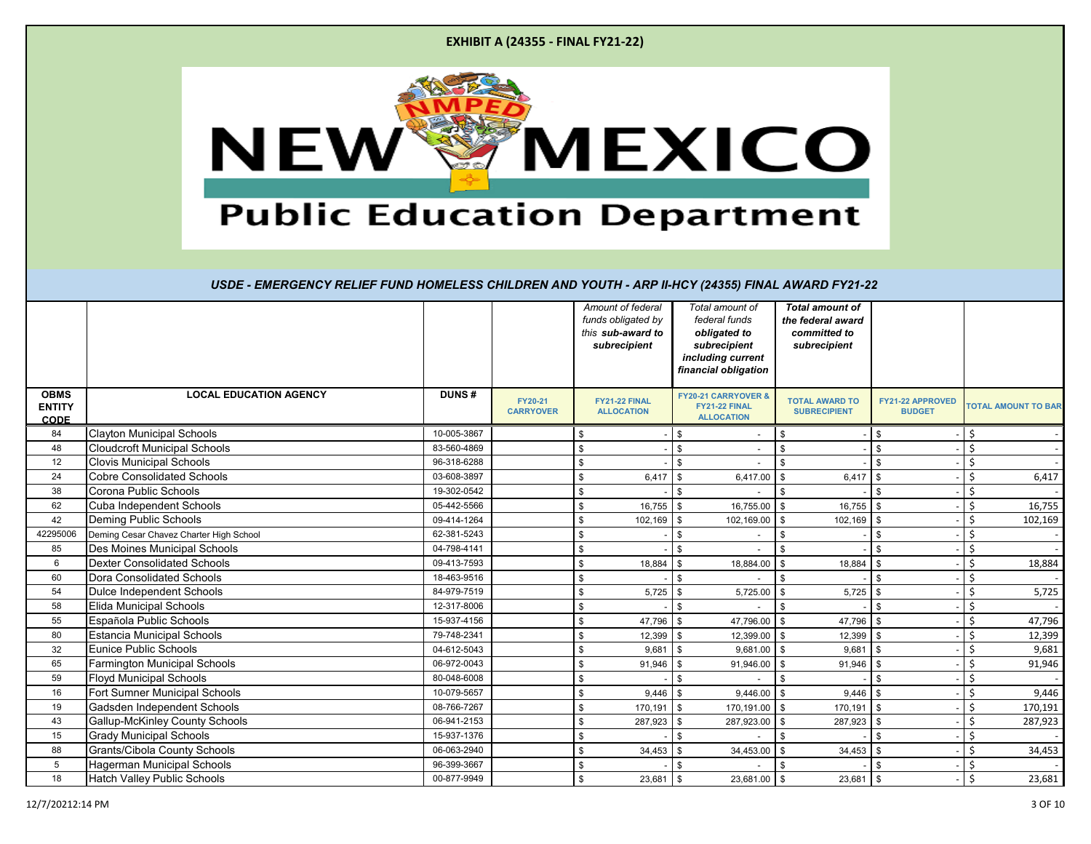| <b>EXHIBIT A (24355 - FINAL FY21-22)</b> |  |
|------------------------------------------|--|
|------------------------------------------|--|



|                                             |                                         |              |                             | Amount of federal<br>funds obligated by<br>this sub-award to<br>subrecipient | Total amount of<br>federal funds<br>obligated to<br>subrecipient<br>including current<br>financial obligation | <b>Total amount of</b><br>the federal award<br>committed to<br>subrecipient |                                   |         |                            |
|---------------------------------------------|-----------------------------------------|--------------|-----------------------------|------------------------------------------------------------------------------|---------------------------------------------------------------------------------------------------------------|-----------------------------------------------------------------------------|-----------------------------------|---------|----------------------------|
| <b>OBMS</b><br><b>ENTITY</b><br><b>CODE</b> | <b>LOCAL EDUCATION AGENCY</b>           | <b>DUNS#</b> | FY20-21<br><b>CARRYOVER</b> | FY21-22 FINAL<br><b>ALLOCATION</b>                                           | <b>FY20-21 CARRYOVER &amp;</b><br>FY21-22 FINAL<br><b>ALLOCATION</b>                                          | <b>TOTAL AWARD TO</b><br><b>SUBRECIPIENT</b>                                | FY21-22 APPROVED<br><b>BUDGET</b> |         | <b>TOTAL AMOUNT TO BAR</b> |
| 84                                          | <b>Clayton Municipal Schools</b>        | 10-005-3867  |                             |                                                                              |                                                                                                               | $\sqrt[6]{3}$                                                               | \$                                | Ŝ       |                            |
| 48                                          | <b>Cloudcroft Municipal Schools</b>     | 83-560-4869  |                             | \$                                                                           | $\mathfrak{L}$                                                                                                | \$                                                                          | \$                                | $\zeta$ |                            |
| 12                                          | <b>Clovis Municipal Schools</b>         | 96-318-6288  |                             | \$                                                                           | \$                                                                                                            | \$                                                                          | \$                                | Ś       |                            |
| 24                                          | <b>Cobre Consolidated Schools</b>       | 03-608-3897  |                             | \$<br>6,417                                                                  | \$<br>6,417.00                                                                                                | $\mathbf{s}$<br>6,417                                                       | \$                                | Ś.      | 6,417                      |
| 38                                          | Corona Public Schools                   | 19-302-0542  |                             | \$                                                                           | $\mathfrak{L}$                                                                                                | \$                                                                          | \$                                | \$      |                            |
| 62                                          | <b>Cuba Independent Schools</b>         | 05-442-5566  |                             | \$<br>16,755                                                                 | 16,755.00<br>\$                                                                                               | $16,755$ \$<br>l \$                                                         |                                   | Ś       | 16,755                     |
| 42                                          | Deming Public Schools                   | 09-414-1264  |                             | \$<br>102,169                                                                | 102,169.00 \$<br>\$                                                                                           | $102,169$ \$                                                                |                                   | Ś       | 102,169                    |
| 42295006                                    | Deming Cesar Chavez Charter High School | 62-381-5243  |                             | \$                                                                           | <sup>\$</sup>                                                                                                 | \$                                                                          | \$                                | Ś       |                            |
| 85                                          | Des Moines Municipal Schools            | 04-798-4141  |                             | \$                                                                           |                                                                                                               | \$                                                                          | $\mathfrak s$                     | Ś       |                            |
| 6                                           | <b>Dexter Consolidated Schools</b>      | 09-413-7593  |                             | \$<br>18,884                                                                 | 18,884.00<br>\$                                                                                               | 18,884<br>\$                                                                | \$                                | Ŝ.      | 18,884                     |
| 60                                          | Dora Consolidated Schools               | 18-463-9516  |                             | \$                                                                           | $\mathfrak{L}$                                                                                                | \$                                                                          | \$                                | Ś       |                            |
| 54                                          | Dulce Independent Schools               | 84-979-7519  |                             | \$<br>5,725                                                                  | 5,725.00<br>\$                                                                                                | l \$<br>$5,725$ \$                                                          |                                   | Ś       | 5,725                      |
| 58                                          | Elida Municipal Schools                 | 12-317-8006  |                             | \$                                                                           | $\mathfrak{L}$                                                                                                | \$                                                                          | \$                                | Ś       |                            |
| 55                                          | Española Public Schools                 | 15-937-4156  |                             | \$<br>47,796                                                                 | 47,796.00 \$<br>\$                                                                                            | 47,796                                                                      |                                   | Ś       | 47,796                     |
| 80                                          | <b>Estancia Municipal Schools</b>       | 79-748-2341  |                             | \$<br>12,399                                                                 | 12,399.00 \$<br>\$                                                                                            | 12,399                                                                      | - \$                              | \$      | 12,399                     |
| 32                                          | <b>Eunice Public Schools</b>            | 04-612-5043  |                             | \$<br>9,681                                                                  | $9,681.00$ \$<br>$\mathfrak{L}$                                                                               | 9,681                                                                       | <b>S</b>                          | \$      | 9,681                      |
| 65                                          | Farmington Municipal Schools            | 06-972-0043  |                             | \$<br>91,946                                                                 | 91,946.00 \$<br><sup>\$</sup>                                                                                 | $91,946$ \$                                                                 |                                   | Ś       | 91,946                     |
| 59                                          | <b>Floyd Municipal Schools</b>          | 80-048-6008  |                             |                                                                              | <sup>\$</sup>                                                                                                 | \$                                                                          | \$                                | Ś       |                            |
| 16                                          | Fort Sumner Municipal Schools           | 10-079-5657  |                             | \$<br>9,446                                                                  | 9,446.00<br>\$                                                                                                | 9,446<br>\$                                                                 |                                   | \$      | 9,446                      |
| 19                                          | Gadsden Independent Schools             | 08-766-7267  |                             | \$<br>170,191                                                                | 170,191.00 \$<br>\$                                                                                           | 170,191                                                                     | \$                                | \$      | 170,191                    |
| 43                                          | Gallup-McKinley County Schools          | 06-941-2153  |                             | \$<br>287,923                                                                | 287,923.00<br><sup>\$</sup>                                                                                   | \$<br>287,923                                                               | \$                                | \$      | 287,923                    |
| 15                                          | <b>Grady Municipal Schools</b>          | 15-937-1376  |                             | \$                                                                           | ዳ                                                                                                             | \$                                                                          | $\mathbf{s}$                      | Ś       |                            |
| 88                                          | Grants/Cibola County Schools            | 06-063-2940  |                             | \$<br>34,453                                                                 | 34,453.00<br>\$                                                                                               | 34,453<br>$\mathbf{s}$                                                      | \$                                | Ś       | 34,453                     |
| $5\phantom{.0}$                             | Hagerman Municipal Schools              | 96-399-3667  |                             | \$                                                                           | $\mathfrak{L}$                                                                                                | \$                                                                          | $\mathbf{s}$                      | Ś       |                            |
| 18                                          | <b>Hatch Valley Public Schools</b>      | 00-877-9949  |                             | \$<br>23,681                                                                 | 23,681.00 \$<br>\$                                                                                            | 23,681                                                                      | \$                                | \$      | 23,681                     |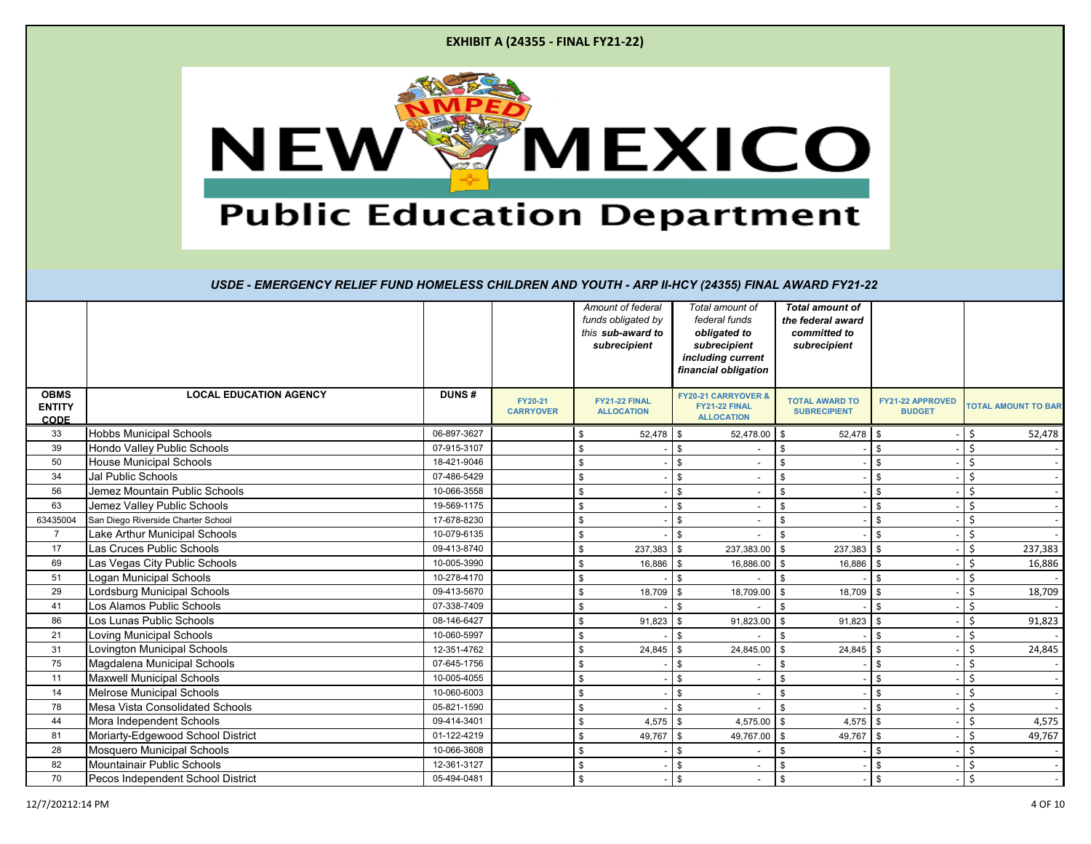|                                             | <b>EXHIBIT A (24355 - FINAL FY21-22)</b>                                                                                                              |                            |                             |                                                                              |                       |                                                                                                               |                                                                             |                                   |                             |
|---------------------------------------------|-------------------------------------------------------------------------------------------------------------------------------------------------------|----------------------------|-----------------------------|------------------------------------------------------------------------------|-----------------------|---------------------------------------------------------------------------------------------------------------|-----------------------------------------------------------------------------|-----------------------------------|-----------------------------|
|                                             | <b>NEW</b><br><b>Public Education Department</b><br>USDE - EMERGENCY RELIEF FUND HOMELESS CHILDREN AND YOUTH - ARP II-HCY (24355) FINAL AWARD FY21-22 |                            |                             |                                                                              |                       | <b>SMEXICO</b>                                                                                                |                                                                             |                                   |                             |
|                                             |                                                                                                                                                       |                            |                             | Amount of federal<br>funds obligated by<br>this sub-award to<br>subrecipient |                       | Total amount of<br>federal funds<br>obligated to<br>subrecipient<br>including current<br>financial obligation | <b>Total amount of</b><br>the federal award<br>committed to<br>subrecipient |                                   |                             |
| <b>OBMS</b><br><b>ENTITY</b><br><b>CODE</b> | <b>LOCAL EDUCATION AGENCY</b>                                                                                                                         | <b>DUNS#</b>               | FY20-21<br><b>CARRYOVER</b> | FY21-22 FINAL<br><b>ALLOCATION</b>                                           |                       | <b>FY20-21 CARRYOVER &amp;</b><br>FY21-22 FINAL<br><b>ALLOCATION</b>                                          | <b>TOTAL AWARD TO</b><br><b>SUBRECIPIENT</b>                                | FY21-22 APPROVED<br><b>BUDGET</b> | <b>TOTAL AMOUNT TO BAR</b>  |
|                                             | <b>Hobbs Municipal Schools</b>                                                                                                                        | 06-897-3627                |                             |                                                                              | $52,478$ \$           | 52,478.00                                                                                                     | 52,478<br>-S                                                                | l \$                              | \$<br>52,478                |
| 33                                          |                                                                                                                                                       |                            |                             | \$                                                                           |                       | \$                                                                                                            |                                                                             | \$                                |                             |
| 39                                          | Hondo Valley Public Schools                                                                                                                           | 07-915-3107                |                             | \$                                                                           |                       | \$<br>$\overline{a}$                                                                                          |                                                                             |                                   | Ś.                          |
| 50                                          | <b>House Municipal Schools</b>                                                                                                                        | 18-421-9046                |                             | \$                                                                           |                       |                                                                                                               | \$.                                                                         | - \$                              | \$                          |
| 34                                          | Jal Public Schools                                                                                                                                    | 07-486-5429                |                             | \$                                                                           |                       | \$                                                                                                            | \$                                                                          | \$                                | \$                          |
| 56                                          | Jemez Mountain Public Schools                                                                                                                         | 10-066-3558                |                             | \$                                                                           |                       | $\mathfrak{L}$<br>$\sim$                                                                                      | \$.                                                                         | \$                                | Ś.                          |
| 63                                          | Jemez Valley Public Schools                                                                                                                           | 19-569-1175                |                             | \$                                                                           |                       | \$                                                                                                            | \$                                                                          | $\mathfrak s$                     | Ś.                          |
|                                             | San Diego Riverside Charter School                                                                                                                    | 17-678-8230                |                             | \$                                                                           |                       | \$<br>$\sim$                                                                                                  | \$                                                                          | \$                                | \$                          |
| 63435004<br>$\overline{7}$                  | Lake Arthur Municipal Schools                                                                                                                         | 10-079-6135                |                             | \$                                                                           |                       | \$                                                                                                            |                                                                             | - \$                              | \$                          |
| 17                                          | Las Cruces Public Schools                                                                                                                             | 09-413-8740                |                             | \$                                                                           | 237,383               | \$<br>237,383.00                                                                                              | 237,383                                                                     | - \$                              | Ś.<br>237,383               |
| 69                                          | Las Vegas City Public Schools                                                                                                                         | 10-005-3990                |                             | \$                                                                           | 16,886                | 16,886.00<br>- \$                                                                                             | 16,886                                                                      | \$                                | Ś.<br>16,886                |
| 51                                          | Logan Municipal Schools                                                                                                                               | 10-278-4170                |                             | \$                                                                           |                       | \$.<br>$\sim$                                                                                                 | \$                                                                          | \$                                | Ś.                          |
| 29                                          | Lordsburg Municipal Schools                                                                                                                           | 09-413-5670                |                             | \$                                                                           | 18,709                | 18,709.00<br>- \$                                                                                             | 18,709                                                                      | -9                                | Ś<br>18,709                 |
| 41                                          | Los Alamos Public Schools                                                                                                                             | 07-338-7409                |                             | \$                                                                           |                       | \$.                                                                                                           |                                                                             | - \$                              | Ś.                          |
| 86                                          | Los Lunas Public Schools                                                                                                                              | 08-146-6427                |                             | \$                                                                           | 91,823                | 91,823.00<br>\$                                                                                               | 91,823                                                                      | <b>S</b>                          | Ś.<br>91,823                |
| 21                                          | Loving Municipal Schools                                                                                                                              | 10-060-5997                |                             | - \$                                                                         |                       | $-1$ \$<br>$-5$                                                                                               |                                                                             | -8                                | - 19                        |
| 31                                          | <b>Lovington Municipal Schools</b>                                                                                                                    | 12-351-4762                |                             | \$                                                                           | $24,845$ \$           | 24,845.00 \$                                                                                                  | $24,845$ \$                                                                 |                                   | \$<br>24,845                |
| 75                                          | Magdalena Municipal Schools                                                                                                                           | 07-645-1756                |                             | \$                                                                           |                       | \$<br>$\sim$                                                                                                  | \$                                                                          | $\sqrt{3}$                        | \$                          |
| 11                                          | <b>Maxwell Municipal Schools</b>                                                                                                                      | 10-005-4055                |                             | \$                                                                           |                       | \$<br>$\sim$                                                                                                  | $\sqrt{3}$                                                                  | $\sqrt[6]{3}$                     | \$                          |
| 14                                          | Melrose Municipal Schools                                                                                                                             | 10-060-6003                |                             | \$                                                                           |                       | \$<br>$\sim$                                                                                                  | $\sqrt{3}$                                                                  | $\sqrt[6]{5}$                     | \$                          |
| 78                                          | Mesa Vista Consolidated Schools                                                                                                                       | 05-821-1590                |                             | \$                                                                           |                       | \$<br>$\sim$                                                                                                  | $\sqrt[3]{2}$                                                               | $\sqrt[6]{3}$                     | \$                          |
| 44<br>81                                    | Mora Independent Schools<br>Moriarty-Edgewood School District                                                                                         | 09-414-3401<br>01-122-4219 |                             | \$<br>\$                                                                     | 4,575 \$<br>49,767 \$ | 4,575.00 \$<br>49,767.00 \$                                                                                   | 4,575 \$<br>49,767 \$                                                       |                                   | \$<br>4,575<br>\$<br>49,767 |

28 Mosquero Municipal Schools 10-066-3608 \$ - \$ - \$ - \$ - \$ - 82 Mountainair Public Schools<br>
82 Mountainair Public Schools<br>
82 Mountainair Public School District<br>
8 - \$ - \$ - \$ - \$ 70 Pecos Independent School District 1 1 15-494-0481 | 05-494-0481 | \$ - \$ - \$ - \$ - \$

**OBMS ENTITY**  CODE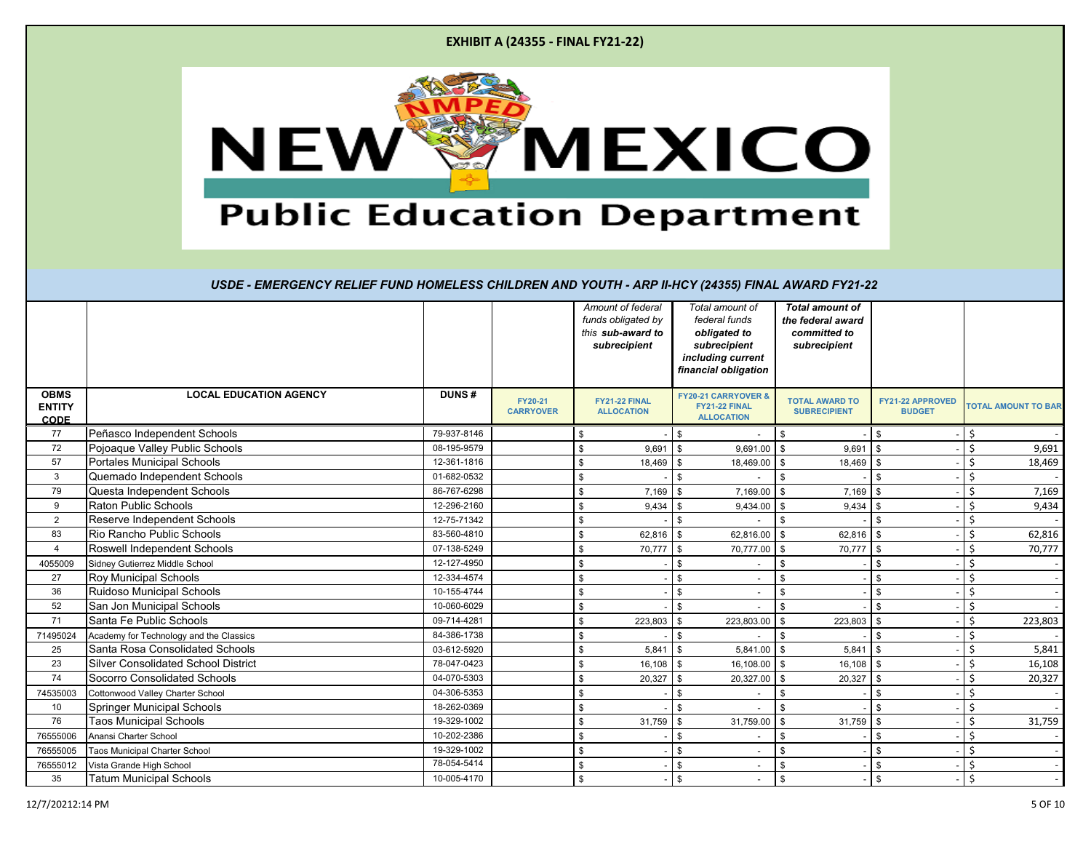|  | <b>EXHIBIT A (24355 - FINAL FY21-22)</b> |  |
|--|------------------------------------------|--|
|--|------------------------------------------|--|



|                                             |                                            |              |                             | Amount of federal<br>funds obligated by<br>this sub-award to<br>subrecipient | Total amount of<br>federal funds<br>obligated to<br>subrecipient<br>including current<br>financial obligation | <b>Total amount of</b><br>the federal award<br>committed to<br>subrecipient |                                   |               |                            |
|---------------------------------------------|--------------------------------------------|--------------|-----------------------------|------------------------------------------------------------------------------|---------------------------------------------------------------------------------------------------------------|-----------------------------------------------------------------------------|-----------------------------------|---------------|----------------------------|
| <b>OBMS</b><br><b>ENTITY</b><br><b>CODE</b> | <b>LOCAL EDUCATION AGENCY</b>              | <b>DUNS#</b> | FY20-21<br><b>CARRYOVER</b> | <b>FY21-22 FINAL</b><br><b>ALLOCATION</b>                                    | <b>FY20-21 CARRYOVER &amp;</b><br>FY21-22 FINAL<br><b>ALLOCATION</b>                                          | <b>TOTAL AWARD TO</b><br><b>SUBRECIPIENT</b>                                | FY21-22 APPROVED<br><b>BUDGET</b> |               | <b>TOTAL AMOUNT TO BAR</b> |
| 77                                          | Peñasco Independent Schools                | 79-937-8146  |                             | \$                                                                           | \$                                                                                                            | \$                                                                          | \$                                | Ŝ.            |                            |
| 72                                          | Pojoaque Valley Public Schools             | 08-195-9579  |                             | \$<br>9,691                                                                  | 9,691.00<br>\$                                                                                                | $\sqrt{3}$<br>9,691                                                         | $\mathfrak{L}$                    | \$            | 9,691                      |
| 57                                          | <b>Portales Municipal Schools</b>          | 12-361-1816  |                             | \$<br>18,469                                                                 | $\mathfrak{S}$<br>18,469.00 \$                                                                                | 18,469                                                                      | \$                                | \$            | 18,469                     |
| 3                                           | Quemado Independent Schools                | 01-682-0532  |                             | \$                                                                           | \$                                                                                                            | \$                                                                          | \$                                | Ś             |                            |
| 79                                          | Questa Independent Schools                 | 86-767-6298  |                             | \$<br>7,169                                                                  | \$<br>7,169.00                                                                                                | \$<br>7,169                                                                 | \$                                | Ŝ.            | 7,169                      |
| 9                                           | <b>Raton Public Schools</b>                | 12-296-2160  |                             | \$<br>9,434                                                                  | 9,434.00<br>\$                                                                                                | 9,434<br>$\mathbf{s}$                                                       | $\mathfrak{L}$                    | \$            | 9,434                      |
| 2                                           | Reserve Independent Schools                | 12-75-71342  |                             | \$                                                                           | \$                                                                                                            | \$                                                                          | \$                                | Ś.            |                            |
| 83                                          | Rio Rancho Public Schools                  | 83-560-4810  |                             | \$<br>62,816                                                                 | 62,816.00<br>\$                                                                                               | 62,816<br>\$                                                                | \$                                | Ś.            | 62,816                     |
| $\overline{4}$                              | Roswell Independent Schools                | 07-138-5249  |                             | \$<br>70,777                                                                 | 70,777.00 \$<br>\$                                                                                            | 70,777                                                                      | \$                                | <sup>\$</sup> | 70,777                     |
| 4055009                                     | Sidney Gutierrez Middle School             | 12-127-4950  |                             | \$                                                                           | \$                                                                                                            | \$                                                                          | \$                                | <b>S</b>      |                            |
| 27                                          | <b>Roy Municipal Schools</b>               | 12-334-4574  |                             | \$                                                                           | \$                                                                                                            | \$                                                                          | \$                                | \$            |                            |
| 36                                          | Ruidoso Municipal Schools                  | 10-155-4744  |                             | \$                                                                           | \$<br>$\overline{\phantom{a}}$                                                                                | \$                                                                          | \$                                | \$            |                            |
| 52                                          | San Jon Municipal Schools                  | 10-060-6029  |                             | \$                                                                           | \$                                                                                                            | \$                                                                          | \$                                | Ś             |                            |
| 71                                          | Santa Fe Public Schools                    | 09-714-4281  |                             | \$<br>223,803                                                                | 223,803.00<br>\$                                                                                              | \$<br>223,803                                                               | <sup>\$</sup>                     | \$            | 223,803                    |
| 71495024                                    | Academy for Technology and the Classics    | 84-386-1738  |                             | \$                                                                           | \$                                                                                                            | \$                                                                          | \$                                | Ŝ.            |                            |
| 25                                          | Santa Rosa Consolidated Schools            | 03-612-5920  |                             | \$<br>5,841                                                                  | $5,841.00$ \$<br>\$                                                                                           | 5,841                                                                       | \$                                | \$            | 5,841                      |
| 23                                          | <b>Silver Consolidated School District</b> | 78-047-0423  |                             | \$<br>16,108                                                                 | 16,108.00 \$<br>\$                                                                                            | $16,108$ \$                                                                 |                                   | Ś.            | 16,108                     |
| 74                                          | Socorro Consolidated Schools               | 04-070-5303  |                             | \$<br>20,327                                                                 | 20,327.00<br>\$                                                                                               | \$<br>20,327                                                                | \$                                | \$            | 20,327                     |
| 74535003                                    | Cottonwood Valley Charter School           | 04-306-5353  |                             | \$                                                                           | \$                                                                                                            | \$                                                                          | \$                                | \$            |                            |
| 10                                          | <b>Springer Municipal Schools</b>          | 18-262-0369  |                             | \$                                                                           | \$                                                                                                            | \$                                                                          | \$                                | \$            |                            |
| 76                                          | <b>Taos Municipal Schools</b>              | 19-329-1002  |                             | \$<br>31,759                                                                 | \$<br>31,759.00                                                                                               | 31,759<br>\$                                                                | \$                                | \$            | 31,759                     |
| 76555006                                    | Anansi Charter School                      | 10-202-2386  |                             | \$                                                                           | \$                                                                                                            | \$                                                                          | \$                                | Ś.            |                            |
| 76555005                                    | Taos Municipal Charter School              | 19-329-1002  |                             | \$                                                                           | \$                                                                                                            | \$                                                                          | \$                                | \$            |                            |
| 76555012                                    | Vista Grande High School                   | 78-054-5414  |                             | \$                                                                           | \$                                                                                                            | \$                                                                          | \$                                | Ś             |                            |
| 35                                          | <b>Tatum Municipal Schools</b>             | 10-005-4170  |                             | \$                                                                           | \$<br>$\overline{\phantom{a}}$                                                                                | \$                                                                          | \$                                | Ś.            |                            |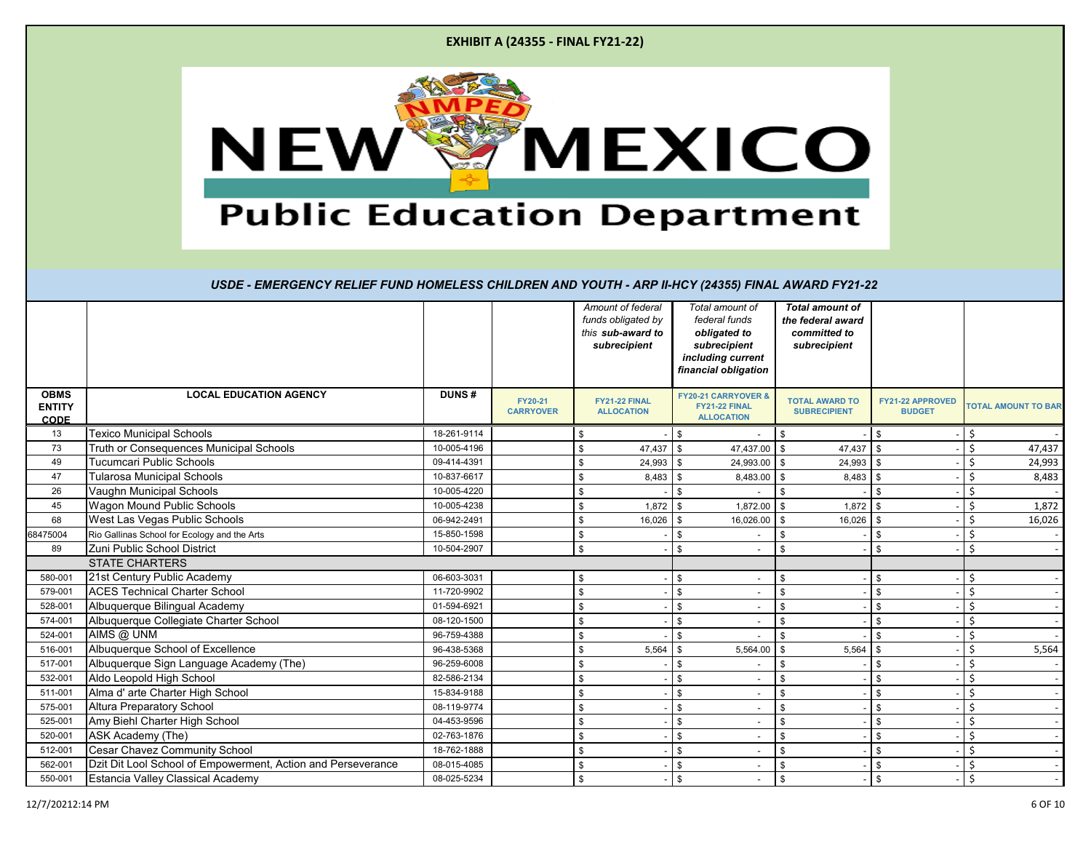|  | <b>EXHIBIT A (24355 - FINAL FY21-22)</b> |
|--|------------------------------------------|
|--|------------------------------------------|



|                                             |                                                              |              |                             |     | Amount of federal<br>funds obligated by<br>this sub-award to<br>subrecipient |                | Total amount of<br>federal funds<br>obligated to<br>subrecipient<br>including current<br>financial obligation | <b>Total amount of</b><br>the federal award<br>committed to<br>subrecipient |                                          |     |                            |
|---------------------------------------------|--------------------------------------------------------------|--------------|-----------------------------|-----|------------------------------------------------------------------------------|----------------|---------------------------------------------------------------------------------------------------------------|-----------------------------------------------------------------------------|------------------------------------------|-----|----------------------------|
| <b>OBMS</b><br><b>ENTITY</b><br><b>CODE</b> | <b>LOCAL EDUCATION AGENCY</b>                                | <b>DUNS#</b> | FY20-21<br><b>CARRYOVER</b> |     | FY21-22 FINAL<br><b>ALLOCATION</b>                                           |                | <b>FY20-21 CARRYOVER &amp;</b><br>FY21-22 FINAL<br><b>ALLOCATION</b>                                          | <b>TOTAL AWARD TO</b><br><b>SUBRECIPIENT</b>                                | <b>FY21-22 APPROVED</b><br><b>BUDGET</b> |     | <b>TOTAL AMOUNT TO BAR</b> |
| 13                                          | <b>Texico Municipal Schools</b>                              | 18-261-9114  |                             | \$  |                                                                              | \$.            |                                                                                                               | \$                                                                          | \$                                       |     |                            |
| 73                                          | Truth or Consequences Municipal Schools                      | 10-005-4196  |                             | \$  | $47,437$ \$                                                                  |                | 47,437.00 \$                                                                                                  | 47,437                                                                      | l \$                                     | Ś   | 47,437                     |
| 49                                          | Tucumcari Public Schools                                     | 09-414-4391  |                             | \$  | 24,993                                                                       | \$             | 24,993.00 \$                                                                                                  | 24,993                                                                      | <b>S</b>                                 | Ś   | 24,993                     |
| 47                                          | <b>Tularosa Municipal Schools</b>                            | 10-837-6617  |                             | \$  | $8,483$ \$                                                                   |                | 8,483.00 \$                                                                                                   | $8,483$ \$                                                                  |                                          | Ś   | 8,483                      |
| 26                                          | Vaughn Municipal Schools                                     | 10-005-4220  |                             | \$  |                                                                              | $\mathfrak{L}$ |                                                                                                               | \$.                                                                         |                                          | Ś   |                            |
| 45                                          | Wagon Mound Public Schools                                   | 10-005-4238  |                             | \$  | 1,872                                                                        | \$             | 1,872.00 \$                                                                                                   | 1,872                                                                       | \$                                       | Ś   | 1,872                      |
| 68                                          | West Las Vegas Public Schools                                | 06-942-2491  |                             | \$  | 16,026                                                                       | \$             | 16,026.00 \$                                                                                                  | 16,026                                                                      | l \$                                     | Ś   | 16,026                     |
| 68475004                                    | Rio Gallinas School for Ecology and the Arts                 | 15-850-1598  |                             | \$  |                                                                              | \$             |                                                                                                               | \$                                                                          | \$                                       | Ś   |                            |
| 89                                          | Zuni Public School District                                  | 10-504-2907  |                             | \$  |                                                                              | \$.            |                                                                                                               | \$.                                                                         | \$                                       | .\$ |                            |
|                                             | <b>STATE CHARTERS</b>                                        |              |                             |     |                                                                              |                |                                                                                                               |                                                                             |                                          |     |                            |
| 580-001                                     | 21st Century Public Academy                                  | 06-603-3031  |                             | \$  |                                                                              | \$             |                                                                                                               | \$                                                                          | \$                                       | Ś   |                            |
| 579-001                                     | <b>ACES Technical Charter School</b>                         | 11-720-9902  |                             | \$  |                                                                              | \$             |                                                                                                               | \$                                                                          | \$                                       | Ś   |                            |
| 528-001                                     | Albuquerque Bilingual Academy                                | 01-594-6921  |                             | \$  |                                                                              | \$             |                                                                                                               | \$                                                                          | \$                                       | Ś   |                            |
| 574-001                                     | Albuquerque Collegiate Charter School                        | 08-120-1500  |                             | \$  |                                                                              | \$             |                                                                                                               | \$                                                                          | \$                                       | Ś   |                            |
| 524-001                                     | AIMS @ UNM                                                   | 96-759-4388  |                             | \$  |                                                                              | \$             |                                                                                                               | \$                                                                          | \$                                       | Ś   |                            |
| 516-001                                     | Albuquerque School of Excellence                             | 96-438-5368  |                             | \$  | 5,564                                                                        | \$             | 5,564.00                                                                                                      | 5,564<br>\$                                                                 | $\mathbf{s}$                             | Ś   | 5,564                      |
| 517-001                                     | Albuquerque Sign Language Academy (The)                      | 96-259-6008  |                             | \$. |                                                                              | \$             |                                                                                                               | \$                                                                          | $\mathfrak{L}$                           | Ś   |                            |
| 532-001                                     | Aldo Leopold High School                                     | 82-586-2134  |                             | \$  |                                                                              | \$             |                                                                                                               | \$                                                                          | \$                                       |     |                            |
| 511-001                                     | Alma d' arte Charter High School                             | 15-834-9188  |                             | \$  |                                                                              | \$             |                                                                                                               | \$                                                                          | \$                                       |     |                            |
| 575-001                                     | Altura Preparatory School                                    | 08-119-9774  |                             | \$  |                                                                              | \$             |                                                                                                               | \$                                                                          | \$                                       | Ś   |                            |
| 525-001                                     | Amy Biehl Charter High School                                | 04-453-9596  |                             | \$  |                                                                              | \$             |                                                                                                               | \$                                                                          | \$                                       | \$  |                            |
| 520-001                                     | ASK Academy (The)                                            | 02-763-1876  |                             | \$  |                                                                              | \$             |                                                                                                               | \$                                                                          | \$                                       | Ś   |                            |
| 512-001                                     | Cesar Chavez Community School                                | 18-762-1888  |                             | \$  |                                                                              | \$             |                                                                                                               | \$                                                                          | \$                                       | Ś   |                            |
| 562-001                                     | Dzit Dit Lool School of Empowerment, Action and Perseverance | 08-015-4085  |                             | \$  |                                                                              | \$             |                                                                                                               | \$                                                                          | \$                                       | Ś   |                            |
| 550-001                                     | Estancia Valley Classical Academy                            | 08-025-5234  |                             | \$  |                                                                              | \$             |                                                                                                               | \$                                                                          | \$                                       | Ś   |                            |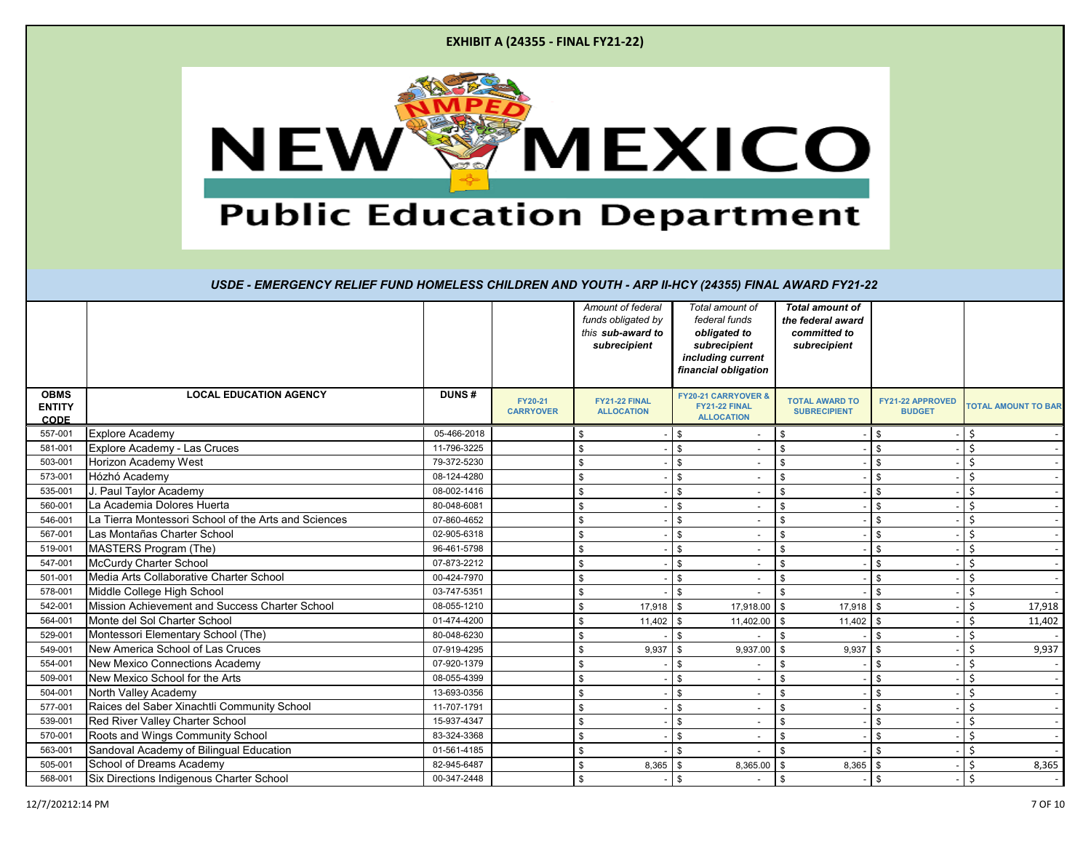|  | <b>EXHIBIT A (24355 - FINAL FY21-22)</b> |  |
|--|------------------------------------------|--|
|--|------------------------------------------|--|



|                                             |                                                      |              |                             | Amount of federal<br>funds obligated by<br>this sub-award to<br>subrecipient | Total amount of<br>federal funds<br>obligated to<br>subrecipient<br>including current<br>financial obligation | <b>Total amount of</b><br>the federal award<br>committed to<br>subrecipient |                                   |                            |
|---------------------------------------------|------------------------------------------------------|--------------|-----------------------------|------------------------------------------------------------------------------|---------------------------------------------------------------------------------------------------------------|-----------------------------------------------------------------------------|-----------------------------------|----------------------------|
| <b>OBMS</b><br><b>ENTITY</b><br><b>CODE</b> | <b>LOCAL EDUCATION AGENCY</b>                        | <b>DUNS#</b> | FY20-21<br><b>CARRYOVER</b> | <b>FY21-22 FINAL</b><br><b>ALLOCATION</b>                                    | <b>FY20-21 CARRYOVER &amp;</b><br>FY21-22 FINAL<br><b>ALLOCATION</b>                                          | <b>TOTAL AWARD TO</b><br><b>SUBRECIPIENT</b>                                | FY21-22 APPROVED<br><b>BUDGET</b> | <b>TOTAL AMOUNT TO BAR</b> |
| 557-001                                     | <b>Explore Academy</b>                               | 05-466-2018  |                             | \$                                                                           | \$                                                                                                            | \$                                                                          | \$                                | Ŝ.                         |
| 581-001                                     | Explore Academy - Las Cruces                         | 11-796-3225  |                             | \$                                                                           | \$                                                                                                            | \$                                                                          | \$                                | Ś                          |
| 503-001                                     | Horizon Academy West                                 | 79-372-5230  |                             | \$                                                                           | \$                                                                                                            | \$                                                                          | \$                                | Ś                          |
| 573-001                                     | Hózhó Academy                                        | 08-124-4280  |                             | \$                                                                           | \$                                                                                                            | \$                                                                          | \$                                | Ś                          |
| 535-001                                     | J. Paul Taylor Academy                               | 08-002-1416  |                             | \$                                                                           | \$                                                                                                            | \$                                                                          | \$                                | Ś                          |
| 560-001                                     | La Academia Dolores Huerta                           | 80-048-6081  |                             | \$                                                                           | \$                                                                                                            | \$                                                                          | \$                                | Ś                          |
| 546-001                                     | La Tierra Montessori School of the Arts and Sciences | 07-860-4652  |                             | \$                                                                           | \$                                                                                                            | \$                                                                          | \$                                | Ś                          |
| 567-001                                     | Las Montañas Charter School                          | 02-905-6318  |                             | \$                                                                           | \$                                                                                                            | \$                                                                          | \$                                | Ś                          |
| 519-001                                     | MASTERS Program (The)                                | 96-461-5798  |                             | \$                                                                           | \$                                                                                                            | \$                                                                          | \$                                | Ś                          |
| 547-001                                     | McCurdy Charter School                               | 07-873-2212  |                             | \$                                                                           | \$<br>$\overline{\phantom{a}}$                                                                                | \$                                                                          | \$                                | Ś                          |
| 501-001                                     | Media Arts Collaborative Charter School              | 00-424-7970  |                             | \$                                                                           | \$                                                                                                            | \$                                                                          | \$                                | Ś                          |
| 578-001                                     | Middle College High School                           | 03-747-5351  |                             | \$                                                                           | \$                                                                                                            | \$                                                                          | \$                                | Ś                          |
| 542-001                                     | Mission Achievement and Success Charter School       | 08-055-1210  |                             | $17,918$ \$<br>\$                                                            | 17,918.00 \$                                                                                                  | $17,918$ \$                                                                 |                                   | \$<br>17,918               |
| 564-001                                     | Monte del Sol Charter School                         | 01-474-4200  |                             | 11,402<br>\$                                                                 | 11,402.00 \$<br>\$                                                                                            | 11,402                                                                      | <b>\$</b>                         | Ś<br>11,402                |
| 529-001                                     | Montessori Elementary School (The)                   | 80-048-6230  |                             | \$                                                                           | \$                                                                                                            | \$                                                                          | \$                                | Ś                          |
| 549-001                                     | New America School of Las Cruces                     | 07-919-4295  |                             | 9,937<br>\$                                                                  | 9,937.00<br>\$                                                                                                | 9,937<br>\$                                                                 | \$                                | 9,937<br>Ś                 |
| 554-001                                     | <b>New Mexico Connections Academy</b>                | 07-920-1379  |                             | \$                                                                           | \$                                                                                                            | \$                                                                          | \$                                | Ś                          |
| 509-001                                     | New Mexico School for the Arts                       | 08-055-4399  |                             |                                                                              | \$                                                                                                            | \$                                                                          | \$                                | Ś                          |
| 504-001                                     | North Valley Academy                                 | 13-693-0356  |                             | \$                                                                           | \$                                                                                                            | \$                                                                          | \$                                | Ś                          |
| 577-001                                     | Raices del Saber Xinachtli Community School          | 11-707-1791  |                             | \$                                                                           | \$<br>$\overline{\phantom{a}}$                                                                                | \$                                                                          | \$                                | Ś                          |
| 539-001                                     | Red River Valley Charter School                      | 15-937-4347  |                             | \$                                                                           | \$                                                                                                            | \$                                                                          | \$                                | Ś.                         |
| 570-001                                     | Roots and Wings Community School                     | 83-324-3368  |                             | \$                                                                           | \$                                                                                                            | \$                                                                          | \$                                | \$                         |
| 563-001                                     | Sandoval Academy of Bilingual Education              | 01-561-4185  |                             | \$                                                                           | \$                                                                                                            | \$                                                                          | \$                                | Ś                          |
| 505-001                                     | School of Dreams Academy                             | 82-945-6487  |                             | 8,365<br>\$                                                                  | 8,365.00<br>\$                                                                                                | 8,365<br>\$                                                                 | \$                                | Ś.<br>8,365                |
| 568-001                                     | Six Directions Indigenous Charter School             | 00-347-2448  |                             | \$                                                                           | \$                                                                                                            | \$                                                                          | \$                                | \$                         |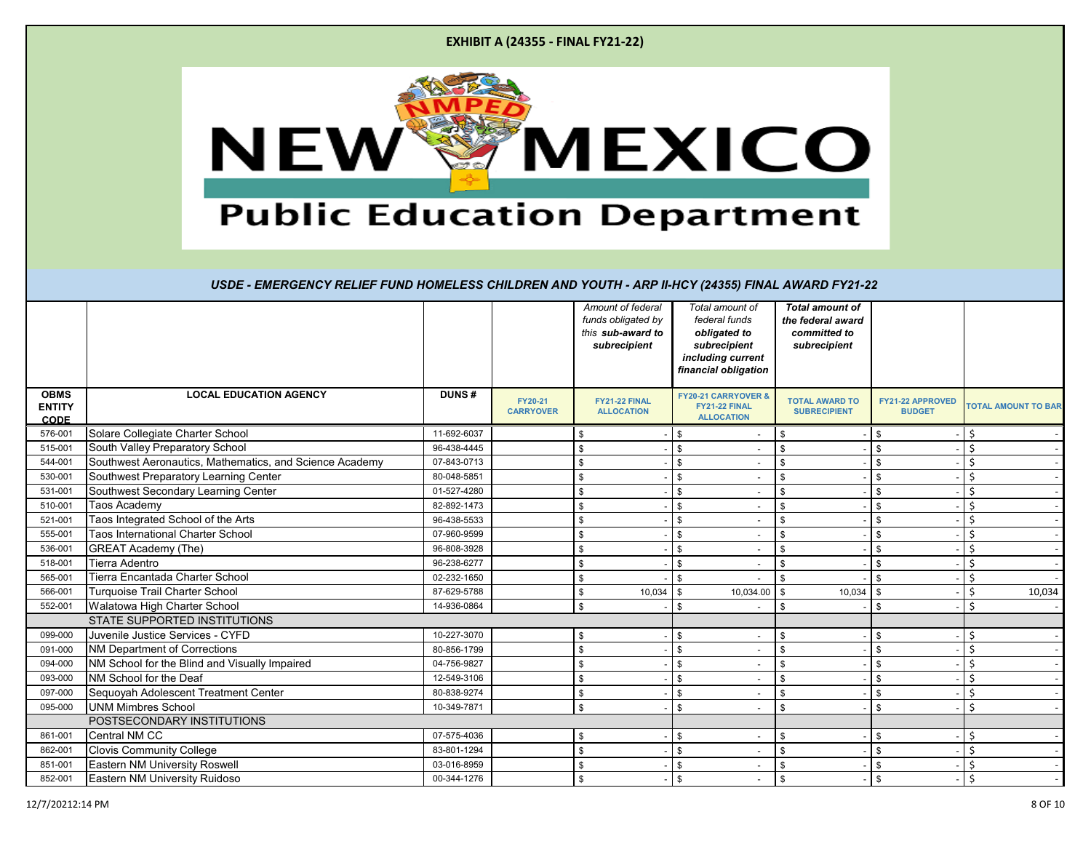|  | <b>EXHIBIT A (24355 - FINAL FY21-22)</b> |  |
|--|------------------------------------------|--|
|--|------------------------------------------|--|



|                                             |                                                         | Amount of federal<br>funds obligated by<br>this sub-award to<br>subrecipient | Total amount of<br>federal funds<br>obligated to<br>subrecipient<br>including current<br>financial obligation | <b>Total amount of</b><br>the federal award<br>committed to<br>subrecipient |                                                                      |                                              |                                   |                            |
|---------------------------------------------|---------------------------------------------------------|------------------------------------------------------------------------------|---------------------------------------------------------------------------------------------------------------|-----------------------------------------------------------------------------|----------------------------------------------------------------------|----------------------------------------------|-----------------------------------|----------------------------|
| <b>OBMS</b><br><b>ENTITY</b><br><b>CODE</b> | <b>LOCAL EDUCATION AGENCY</b>                           | <b>DUNS#</b>                                                                 | FY20-21<br><b>CARRYOVER</b>                                                                                   | FY21-22 FINAL<br><b>ALLOCATION</b>                                          | <b>FY20-21 CARRYOVER &amp;</b><br>FY21-22 FINAL<br><b>ALLOCATION</b> | <b>TOTAL AWARD TO</b><br><b>SUBRECIPIENT</b> | FY21-22 APPROVED<br><b>BUDGET</b> | <b>TOTAL AMOUNT TO BAR</b> |
| 576-001                                     | Solare Collegiate Charter School                        | 11-692-6037                                                                  |                                                                                                               | \$                                                                          | \$                                                                   | \$                                           | \$                                | Ś                          |
| 515-001                                     | South Valley Preparatory School                         | 96-438-4445                                                                  |                                                                                                               | \$                                                                          | \$                                                                   | \$                                           | $\mathfrak{L}$                    | Ś                          |
| 544-001                                     | Southwest Aeronautics, Mathematics, and Science Academy | 07-843-0713                                                                  |                                                                                                               | \$                                                                          | \$                                                                   | \$                                           | <sup>\$</sup>                     | Ś                          |
| 530-001                                     | Southwest Preparatory Learning Center                   | 80-048-5851                                                                  |                                                                                                               | \$                                                                          | \$                                                                   | \$                                           | \$                                | Ś                          |
| 531-001                                     | Southwest Secondary Learning Center                     | 01-527-4280                                                                  |                                                                                                               | \$                                                                          | \$                                                                   | \$                                           | $\mathfrak{L}$                    | Ś                          |
| 510-001                                     | Taos Academy                                            | 82-892-1473                                                                  |                                                                                                               | \$                                                                          | \$                                                                   | \$                                           | \$                                | Ś                          |
| 521-001                                     | Taos Integrated School of the Arts                      | 96-438-5533                                                                  |                                                                                                               | \$                                                                          | \$                                                                   | \$                                           | \$                                | Ś                          |
| 555-001                                     | Taos International Charter School                       | 07-960-9599                                                                  |                                                                                                               | \$                                                                          | \$                                                                   | \$                                           | <sup>\$</sup>                     | Ś                          |
| 536-001                                     | <b>GREAT Academy (The)</b>                              | 96-808-3928                                                                  |                                                                                                               | \$                                                                          | \$                                                                   | \$                                           | $\mathfrak{L}$                    | Ś                          |
| 518-001                                     | Tierra Adentro                                          | 96-238-6277                                                                  |                                                                                                               | \$                                                                          | \$                                                                   | \$                                           | $\mathfrak{L}$                    | Ś                          |
| 565-001                                     | Tierra Encantada Charter School                         | 02-232-1650                                                                  |                                                                                                               | \$                                                                          | \$                                                                   | \$                                           | \$                                | Ś                          |
| 566-001                                     | <b>Turquoise Trail Charter School</b>                   | 87-629-5788                                                                  |                                                                                                               | \$<br>10,034                                                                | 10,034.00<br>\$                                                      | \$<br>10,034                                 | \$                                | Ś<br>10,034                |
| 552-001                                     | Walatowa High Charter School                            | 14-936-0864                                                                  |                                                                                                               | \$                                                                          | \$                                                                   | \$                                           | $\mathfrak{L}$                    | Ś                          |
|                                             | <b>STATE SUPPORTED INSTITUTIONS</b>                     |                                                                              |                                                                                                               |                                                                             |                                                                      |                                              |                                   |                            |
| 099-000                                     | Juvenile Justice Services - CYFD                        | 10-227-3070                                                                  |                                                                                                               | \$                                                                          | \$                                                                   | \$                                           | \$                                | Ś                          |
| 091-000                                     | <b>NM Department of Corrections</b>                     | 80-856-1799                                                                  |                                                                                                               | \$                                                                          | \$                                                                   | \$                                           | \$                                | Ś                          |
| 094-000                                     | NM School for the Blind and Visually Impaired           | 04-756-9827                                                                  |                                                                                                               | \$                                                                          | \$                                                                   | \$                                           | \$                                | Ś                          |
| 093-000                                     | NM School for the Deaf                                  | 12-549-3106                                                                  |                                                                                                               | \$                                                                          | \$                                                                   | \$                                           | $\mathfrak{L}$                    | Ś                          |
| 097-000                                     | Sequoyah Adolescent Treatment Center                    | 80-838-9274                                                                  |                                                                                                               | \$                                                                          | \$                                                                   | \$                                           | \$                                | Ś                          |
| 095-000                                     | <b>UNM Mimbres School</b>                               | 10-349-7871                                                                  |                                                                                                               | \$                                                                          | \$<br>$\overline{\phantom{a}}$                                       | \$                                           | \$                                | Ś.                         |
|                                             | POSTSECONDARY INSTITUTIONS                              |                                                                              |                                                                                                               |                                                                             |                                                                      |                                              |                                   |                            |
| 861-001                                     | Central NM CC                                           | 07-575-4036                                                                  |                                                                                                               | \$                                                                          | \$                                                                   | \$                                           | \$                                | \$                         |
| 862-001                                     | <b>Clovis Community College</b>                         | 83-801-1294                                                                  |                                                                                                               | \$                                                                          | \$                                                                   | \$                                           | \$                                | Ś                          |
| 851-001                                     | <b>Eastern NM University Roswell</b>                    | 03-016-8959                                                                  |                                                                                                               | \$                                                                          | \$                                                                   | \$                                           | \$                                | Ś                          |
| 852-001                                     | Eastern NM University Ruidoso                           | 00-344-1276                                                                  |                                                                                                               | \$                                                                          | \$<br>$\overline{\phantom{a}}$                                       | \$                                           | \$                                | Ś                          |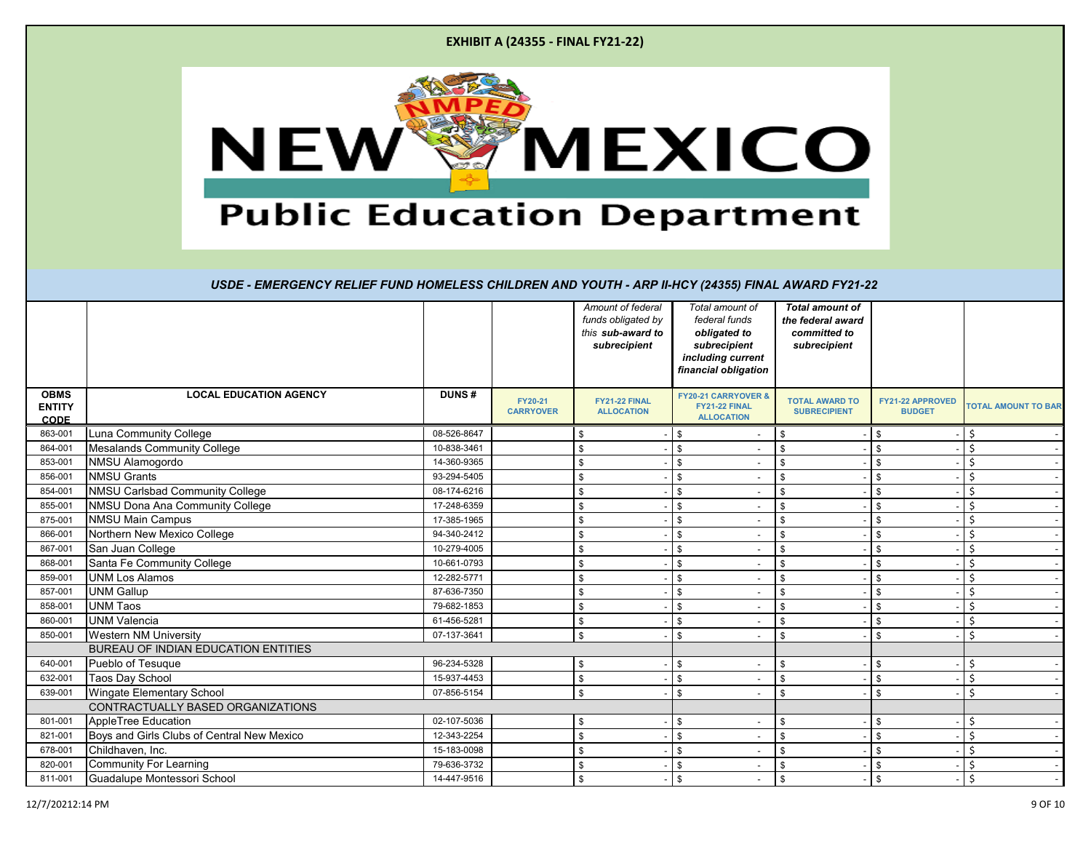|                                                                   |                               |              | <b>EXHIBIT A (24355 - FINAL FY21-22)</b> |                                                                              |                                                                                                               |                                                                             |                                          |  |  |  |
|-------------------------------------------------------------------|-------------------------------|--------------|------------------------------------------|------------------------------------------------------------------------------|---------------------------------------------------------------------------------------------------------------|-----------------------------------------------------------------------------|------------------------------------------|--|--|--|
| <b>NEW</b><br><b>MEXICO</b><br><b>Public Education Department</b> |                               |              |                                          |                                                                              |                                                                                                               |                                                                             |                                          |  |  |  |
|                                                                   |                               |              |                                          | Amount of federal<br>funds obligated by<br>this sub-award to<br>subrecipient | Total amount of<br>federal funds<br>obligated to<br>subrecipient<br>including current<br>financial obligation | <b>Total amount of</b><br>the federal award<br>committed to<br>subrecipient |                                          |  |  |  |
|                                                                   | <b>LOCAL EDUCATION AGENCY</b> | <b>DUNS#</b> | <b>FY20-21</b><br><b>CARRYOVER</b>       | FY21-22 FINAL<br><b>ALLOCATION</b>                                           | <b>FY20-21 CARRYOVER &amp;</b><br>FY21-22 FINAL<br><b>ALLOCATION</b>                                          | <b>TOTAL AWARD TO</b><br><b>SUBRECIPIENT</b>                                | <b>FY21-22 APPROVED</b><br><b>BUDGET</b> |  |  |  |
| nmunity College                                                   |                               | 08-526-8647  |                                          | \$                                                                           | \$                                                                                                            | \$                                                                          | \$                                       |  |  |  |
|                                                                   | Is Community College          | 10-838-3461  |                                          | \$                                                                           | \$                                                                                                            | \$                                                                          | \$                                       |  |  |  |
| amogordo                                                          |                               | 14-360-9365  |                                          | \$                                                                           | \$                                                                                                            | \$                                                                          | \$                                       |  |  |  |
|                                                                   |                               |              |                                          |                                                                              |                                                                                                               |                                                                             |                                          |  |  |  |

| <b>ENTITY</b>          |                                            |             | <b>FY20-21</b><br><b>CARRYOVER</b> | <b>FY21-22 FINAL</b><br><b>ALLOCATION</b> | FY21-22 FINAL<br><b>ALLOCATION</b> |                          | <b>TOTAL AWARD TO</b><br><b>SUBRECIPIENT</b> | <b>FY21-22 APPROVED</b><br><b>BUDGET</b> | <b>TOTAL AMOUNT TO BAR</b> |
|------------------------|--------------------------------------------|-------------|------------------------------------|-------------------------------------------|------------------------------------|--------------------------|----------------------------------------------|------------------------------------------|----------------------------|
| <b>CODE</b><br>863-001 | Luna Community College                     | 08-526-8647 |                                    |                                           |                                    |                          |                                              |                                          |                            |
| 864-001                | <b>Mesalands Community College</b>         | 10-838-3461 |                                    |                                           | \$                                 |                          |                                              | \$.                                      |                            |
| 853-001                | NMSU Alamogordo                            | 14-360-9365 |                                    |                                           | \$.                                |                          |                                              | .\$                                      |                            |
| 856-001                | <b>NMSU Grants</b>                         | 93-294-5405 |                                    |                                           |                                    |                          |                                              | \$.                                      |                            |
| 854-001                | NMSU Carlsbad Community College            | 08-174-6216 |                                    |                                           | \$                                 |                          |                                              | \$.                                      |                            |
| 855-001                | NMSU Dona Ana Community College            | 17-248-6359 |                                    |                                           |                                    |                          |                                              |                                          |                            |
| 875-001                |                                            | 17-385-1965 |                                    |                                           | \$.                                |                          |                                              | £.                                       |                            |
|                        | <b>NMSU Main Campus</b>                    |             |                                    |                                           |                                    |                          |                                              |                                          |                            |
| 866-001                | Northern New Mexico College                | 94-340-2412 |                                    |                                           |                                    | $\overline{\phantom{a}}$ |                                              | .\$                                      |                            |
| 867-001                | San Juan College                           | 10-279-4005 |                                    |                                           |                                    |                          |                                              | £.                                       |                            |
| 868-001                | Santa Fe Community College                 | 10-661-0793 |                                    |                                           | \$                                 |                          |                                              | \$.                                      |                            |
| 859-001                | <b>UNM Los Alamos</b>                      | 12-282-5771 |                                    |                                           |                                    |                          |                                              |                                          |                            |
| 857-001                | <b>UNM Gallup</b>                          | 87-636-7350 |                                    |                                           | \$                                 |                          |                                              | .\$                                      |                            |
| 858-001                | <b>UNM Taos</b>                            | 79-682-1853 |                                    |                                           |                                    |                          |                                              |                                          |                            |
| 860-001                | <b>UNM Valencia</b>                        | 61-456-5281 |                                    |                                           | \$                                 |                          |                                              | \$.                                      |                            |
| 850-001                | <b>Western NM University</b>               | 07-137-3641 |                                    |                                           | \$.                                |                          |                                              |                                          |                            |
|                        | BUREAU OF INDIAN EDUCATION ENTITIES        |             |                                    |                                           |                                    |                          |                                              |                                          |                            |
| 640-001                | Pueblo of Tesuque                          | 96-234-5328 |                                    |                                           | \$                                 |                          |                                              | .\$                                      |                            |
| 632-001                | Taos Day School                            | 15-937-4453 |                                    |                                           |                                    |                          |                                              |                                          |                            |
| 639-001                | Wingate Elementary School                  | 07-856-5154 |                                    |                                           |                                    |                          |                                              | ፍ                                        |                            |
|                        | CONTRACTUALLY BASED ORGANIZATIONS          |             |                                    |                                           |                                    |                          |                                              |                                          |                            |
| 801-001                | AppleTree Education                        | 02-107-5036 |                                    | -S                                        | \$                                 |                          | \$                                           | \$                                       |                            |
| 821-001                | Boys and Girls Clubs of Central New Mexico | 12-343-2254 |                                    |                                           | \$                                 |                          |                                              | $\mathfrak{L}$                           |                            |
| 678-001                | Childhaven, Inc.                           | 15-183-0098 |                                    |                                           | \$                                 |                          |                                              | \$.                                      |                            |
| 820-001                | <b>Community For Learning</b>              | 79-636-3732 |                                    |                                           | $\mathfrak{L}$                     |                          |                                              | \$                                       |                            |
| 811-001                | Guadalupe Montessori School                | 14-447-9516 |                                    |                                           | \$                                 |                          | \$                                           | \$                                       | \$                         |

**OBMS**